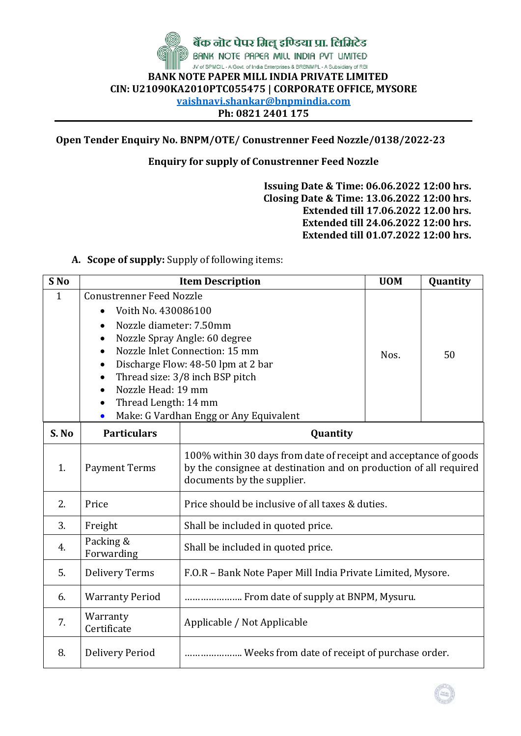

**Open Tender Enquiry No. BNPM/OTE/ Conustrenner Feed Nozzle/0138/2022-23**

## **Enquiry for supply of Conustrenner Feed Nozzle**

**Issuing Date & Time: 06.06.2022 12:00 hrs. Closing Date & Time: 13.06.2022 12:00 hrs. Extended till 17.06.2022 12.00 hrs. Extended till 24.06.2022 12:00 hrs. Extended till 01.07.2022 12:00 hrs.**

## **A. Scope of supply:** Supply of following items:

| S <sub>No</sub> | <b>Item Description</b>                                                                                                                                   | <b>UOM</b>                                                                                                                                                                         | Quantity |    |  |  |
|-----------------|-----------------------------------------------------------------------------------------------------------------------------------------------------------|------------------------------------------------------------------------------------------------------------------------------------------------------------------------------------|----------|----|--|--|
| $\mathbf{1}$    | <b>Conustrenner Feed Nozzle</b><br>Voith No. 430086100<br>Nozzle diameter: 7.50mm<br>$\bullet$<br>Nozzle Head: 19 mm<br>Thread Length: 14 mm<br>$\bullet$ | Nozzle Spray Angle: 60 degree<br>Nozzle Inlet Connection: 15 mm<br>Discharge Flow: 48-50 lpm at 2 bar<br>Thread size: 3/8 inch BSP pitch<br>Make: G Vardhan Engg or Any Equivalent | Nos.     | 50 |  |  |
| S. No           | <b>Particulars</b><br>Quantity                                                                                                                            |                                                                                                                                                                                    |          |    |  |  |
| 1.              | <b>Payment Terms</b>                                                                                                                                      | 100% within 30 days from date of receipt and acceptance of goods<br>by the consignee at destination and on production of all required<br>documents by the supplier.                |          |    |  |  |
| 2.              | Price                                                                                                                                                     | Price should be inclusive of all taxes & duties.                                                                                                                                   |          |    |  |  |
| 3.              | Freight                                                                                                                                                   | Shall be included in quoted price.                                                                                                                                                 |          |    |  |  |
| 4.              | Packing &<br>Forwarding                                                                                                                                   | Shall be included in quoted price.                                                                                                                                                 |          |    |  |  |
| 5.              | <b>Delivery Terms</b>                                                                                                                                     | F.O.R - Bank Note Paper Mill India Private Limited, Mysore.                                                                                                                        |          |    |  |  |
| 6.              | <b>Warranty Period</b>                                                                                                                                    | From date of supply at BNPM, Mysuru.                                                                                                                                               |          |    |  |  |
| 7.              | Warranty<br>Applicable / Not Applicable<br>Certificate                                                                                                    |                                                                                                                                                                                    |          |    |  |  |
| 8.              | <b>Delivery Period</b>                                                                                                                                    | Weeks from date of receipt of purchase order.                                                                                                                                      |          |    |  |  |

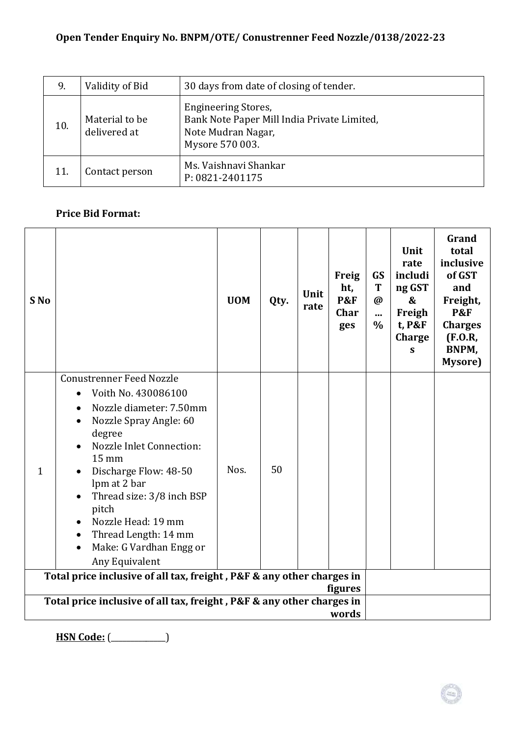| 9.  | Validity of Bid                | 30 days from date of closing of tender.                                                                            |
|-----|--------------------------------|--------------------------------------------------------------------------------------------------------------------|
| 10. | Material to be<br>delivered at | <b>Engineering Stores,</b><br>Bank Note Paper Mill India Private Limited,<br>Note Mudran Nagar,<br>Mysore 570 003. |
| 11. | Contact person                 | Ms. Vaishnavi Shankar<br>P: 0821-2401175                                                                           |

## **Price Bid Format:**

| S No         |                                                                                                                                                                                                                                                                                                                                                   | <b>UOM</b> | Qty. | Unit<br>rate | Freig<br>ht,<br><b>P&amp;F</b><br><b>Char</b><br>ges | GS<br>T<br>$\omega$<br><br>$\%$ | Unit<br>rate<br>includi<br>ng GST<br>&<br>Freigh<br>t, P&F<br>Charge<br>S | Grand<br>total<br>inclusive<br>of GST<br>and<br>Freight,<br><b>P&amp;F</b><br><b>Charges</b><br>(F.0.R,<br>BNPM,<br>Mysore) |
|--------------|---------------------------------------------------------------------------------------------------------------------------------------------------------------------------------------------------------------------------------------------------------------------------------------------------------------------------------------------------|------------|------|--------------|------------------------------------------------------|---------------------------------|---------------------------------------------------------------------------|-----------------------------------------------------------------------------------------------------------------------------|
| $\mathbf{1}$ | <b>Conustrenner Feed Nozzle</b><br>Voith No. 430086100<br>$\bullet$<br>Nozzle diameter: 7.50mm<br>Nozzle Spray Angle: 60<br>degree<br>Nozzle Inlet Connection:<br>15 mm<br>Discharge Flow: 48-50<br>lpm at 2 bar<br>Thread size: 3/8 inch BSP<br>pitch<br>Nozzle Head: 19 mm<br>Thread Length: 14 mm<br>Make: G Vardhan Engg or<br>Any Equivalent | Nos.       | 50   |              |                                                      |                                 |                                                                           |                                                                                                                             |
|              | Total price inclusive of all tax, freight, P&F & any other charges in<br>figures                                                                                                                                                                                                                                                                  |            |      |              |                                                      |                                 |                                                                           |                                                                                                                             |
|              | Total price inclusive of all tax, freight, P&F & any other charges in<br>words                                                                                                                                                                                                                                                                    |            |      |              |                                                      |                                 |                                                                           |                                                                                                                             |

**HSN Code:** (\_\_\_\_\_\_\_\_\_\_\_\_\_\_)